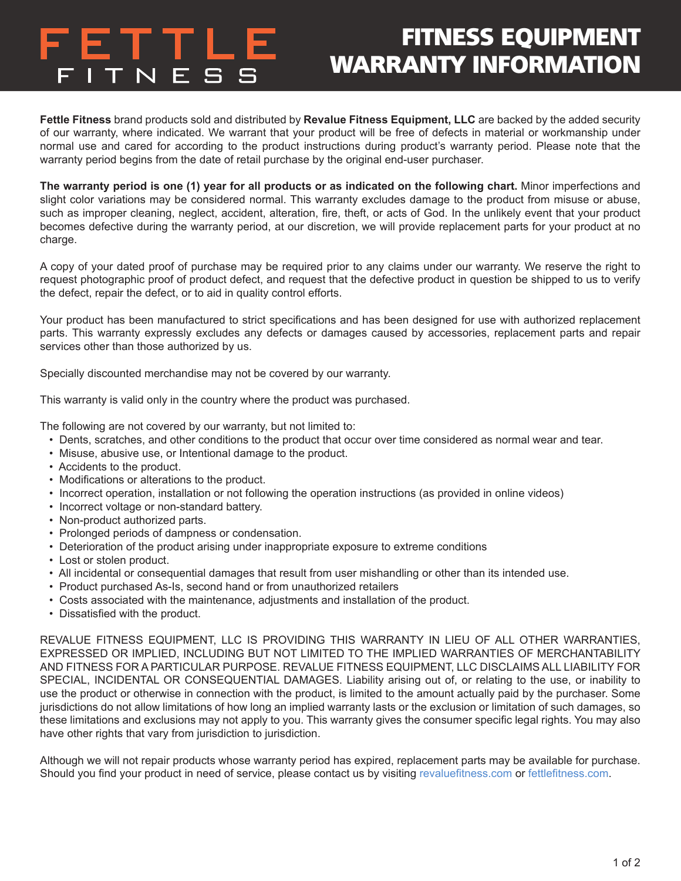

## FITNESS EQUIPMENT WARRANTY INFORMATION

**Fettle Fitness** brand products sold and distributed by **Revalue Fitness Equipment, LLC** are backed by the added security of our warranty, where indicated. We warrant that your product will be free of defects in material or workmanship under normal use and cared for according to the product instructions during product's warranty period. Please note that the warranty period begins from the date of retail purchase by the original end-user purchaser.

**The warranty period is one (1) year for all products or as indicated on the following chart.** Minor imperfections and slight color variations may be considered normal. This warranty excludes damage to the product from misuse or abuse, such as improper cleaning, neglect, accident, alteration, fire, theft, or acts of God. In the unlikely event that your product becomes defective during the warranty period, at our discretion, we will provide replacement parts for your product at no charge.

A copy of your dated proof of purchase may be required prior to any claims under our warranty. We reserve the right to request photographic proof of product defect, and request that the defective product in question be shipped to us to verify the defect, repair the defect, or to aid in quality control efforts.

Your product has been manufactured to strict specifications and has been designed for use with authorized replacement parts. This warranty expressly excludes any defects or damages caused by accessories, replacement parts and repair services other than those authorized by us.

Specially discounted merchandise may not be covered by our warranty.

This warranty is valid only in the country where the product was purchased.

The following are not covered by our warranty, but not limited to:

- Dents, scratches, and other conditions to the product that occur over time considered as normal wear and tear.
- Misuse, abusive use, or Intentional damage to the product.
- Accidents to the product.
- Modifications or alterations to the product.
- Incorrect operation, installation or not following the operation instructions (as provided in online videos)
- Incorrect voltage or non-standard battery.
- Non-product authorized parts.
- Prolonged periods of dampness or condensation.
- Deterioration of the product arising under inappropriate exposure to extreme conditions
- Lost or stolen product.
- All incidental or consequential damages that result from user mishandling or other than its intended use.
- Product purchased As-Is, second hand or from unauthorized retailers
- Costs associated with the maintenance, adjustments and installation of the product.
- Dissatisfied with the product.

REVALUE FITNESS EQUIPMENT, LLC IS PROVIDING THIS WARRANTY IN LIEU OF ALL OTHER WARRANTIES, EXPRESSED OR IMPLIED, INCLUDING BUT NOT LIMITED TO THE IMPLIED WARRANTIES OF MERCHANTABILITY AND FITNESS FOR A PARTICULAR PURPOSE. REVALUE FITNESS EQUIPMENT, LLC DISCLAIMS ALL LIABILITY FOR SPECIAL, INCIDENTAL OR CONSEQUENTIAL DAMAGES. Liability arising out of, or relating to the use, or inability to use the product or otherwise in connection with the product, is limited to the amount actually paid by the purchaser. Some jurisdictions do not allow limitations of how long an implied warranty lasts or the exclusion or limitation of such damages, so these limitations and exclusions may not apply to you. This warranty gives the consumer specific legal rights. You may also have other rights that vary from jurisdiction to jurisdiction.

Although we will not repair products whose warranty period has expired, replacement parts may be available for purchase. Should you find your product in need of service, please contact us by visiting [revaluefitness.com](http://revaluefitness.com) or [fettlefitness.com](http://fettlefitness.com).